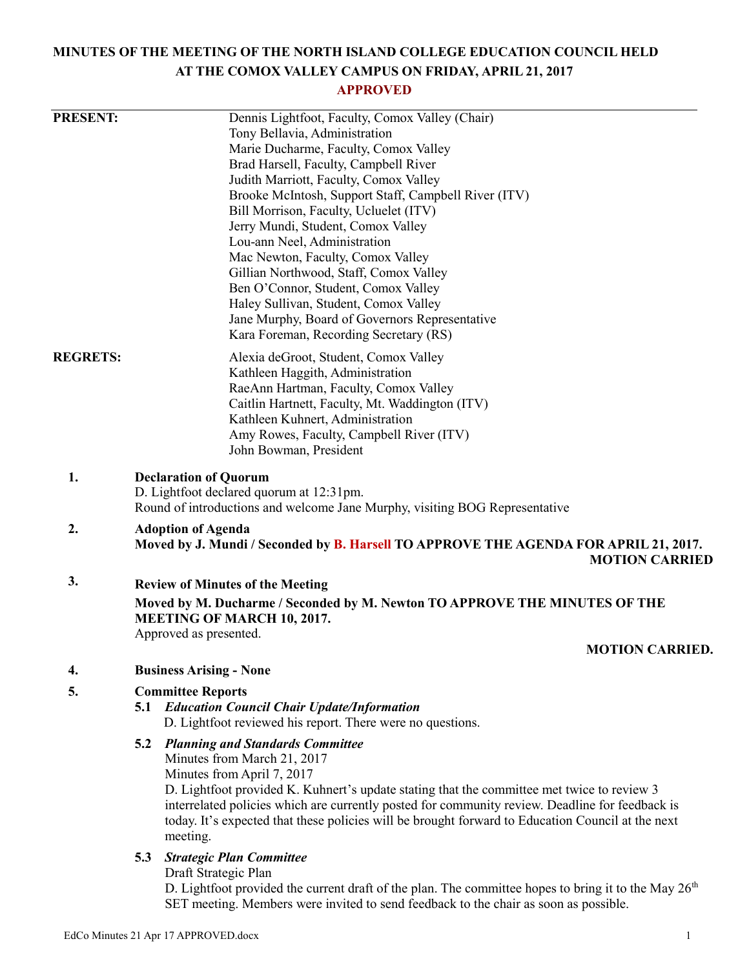# **MINUTES OF THE MEETING OF THE NORTH ISLAND COLLEGE EDUCATION COUNCIL HELD AT THE COMOX VALLEY CAMPUS ON FRIDAY, APRIL 21, 2017**

# **APPROVED**

| <b>PRESENT:</b> |                                                                                                                         | Dennis Lightfoot, Faculty, Comox Valley (Chair)                                                                                                                                               |  |
|-----------------|-------------------------------------------------------------------------------------------------------------------------|-----------------------------------------------------------------------------------------------------------------------------------------------------------------------------------------------|--|
|                 |                                                                                                                         | Tony Bellavia, Administration                                                                                                                                                                 |  |
|                 | Marie Ducharme, Faculty, Comox Valley                                                                                   |                                                                                                                                                                                               |  |
|                 | Brad Harsell, Faculty, Campbell River<br>Judith Marriott, Faculty, Comox Valley                                         |                                                                                                                                                                                               |  |
|                 |                                                                                                                         |                                                                                                                                                                                               |  |
|                 | Brooke McIntosh, Support Staff, Campbell River (ITV)                                                                    |                                                                                                                                                                                               |  |
|                 |                                                                                                                         | Bill Morrison, Faculty, Ucluelet (ITV)<br>Jerry Mundi, Student, Comox Valley                                                                                                                  |  |
|                 |                                                                                                                         | Lou-ann Neel, Administration                                                                                                                                                                  |  |
|                 | Mac Newton, Faculty, Comox Valley                                                                                       |                                                                                                                                                                                               |  |
|                 |                                                                                                                         | Gillian Northwood, Staff, Comox Valley                                                                                                                                                        |  |
|                 |                                                                                                                         | Ben O'Connor, Student, Comox Valley                                                                                                                                                           |  |
|                 |                                                                                                                         | Haley Sullivan, Student, Comox Valley                                                                                                                                                         |  |
|                 |                                                                                                                         | Jane Murphy, Board of Governors Representative                                                                                                                                                |  |
|                 |                                                                                                                         | Kara Foreman, Recording Secretary (RS)                                                                                                                                                        |  |
| <b>REGRETS:</b> |                                                                                                                         | Alexia deGroot, Student, Comox Valley                                                                                                                                                         |  |
|                 |                                                                                                                         | Kathleen Haggith, Administration                                                                                                                                                              |  |
|                 |                                                                                                                         | RaeAnn Hartman, Faculty, Comox Valley                                                                                                                                                         |  |
|                 |                                                                                                                         | Caitlin Hartnett, Faculty, Mt. Waddington (ITV)                                                                                                                                               |  |
|                 |                                                                                                                         | Kathleen Kuhnert, Administration<br>Amy Rowes, Faculty, Campbell River (ITV)                                                                                                                  |  |
|                 |                                                                                                                         | John Bowman, President                                                                                                                                                                        |  |
|                 |                                                                                                                         |                                                                                                                                                                                               |  |
| 1.              | <b>Declaration of Quorum</b>                                                                                            |                                                                                                                                                                                               |  |
|                 | D. Lightfoot declared quorum at 12:31pm.<br>Round of introductions and welcome Jane Murphy, visiting BOG Representative |                                                                                                                                                                                               |  |
| 2.              | <b>Adoption of Agenda</b>                                                                                               |                                                                                                                                                                                               |  |
|                 | Moved by J. Mundi / Seconded by B. Harsell TO APPROVE THE AGENDA FOR APRIL 21, 2017.                                    |                                                                                                                                                                                               |  |
|                 |                                                                                                                         | <b>MOTION CARRIED</b>                                                                                                                                                                         |  |
| 3.              | <b>Review of Minutes of the Meeting</b>                                                                                 |                                                                                                                                                                                               |  |
|                 | Moved by M. Ducharme / Seconded by M. Newton TO APPROVE THE MINUTES OF THE<br>MEETING OF MARCH 10, 2017.                |                                                                                                                                                                                               |  |
|                 |                                                                                                                         | Approved as presented.                                                                                                                                                                        |  |
|                 |                                                                                                                         | <b>MOTION CARRIED</b>                                                                                                                                                                         |  |
| 4.              | <b>Business Arising - None</b>                                                                                          |                                                                                                                                                                                               |  |
| 5.              |                                                                                                                         | <b>Committee Reports</b>                                                                                                                                                                      |  |
|                 |                                                                                                                         | 5.1 Education Council Chair Update/Information<br>D. Lightfoot reviewed his report. There were no questions.                                                                                  |  |
|                 |                                                                                                                         | <b>5.2 Planning and Standards Committee</b>                                                                                                                                                   |  |
|                 |                                                                                                                         | Minutes from March 21, 2017                                                                                                                                                                   |  |
|                 |                                                                                                                         | Minutes from April 7, 2017                                                                                                                                                                    |  |
|                 |                                                                                                                         | D. Lightfoot provided K. Kuhnert's update stating that the committee met twice to review 3<br>interrelated policies which are currently posted for community review. Deadline for feedback is |  |
|                 |                                                                                                                         | today. It's expected that these policies will be brought forward to Education Council at the next                                                                                             |  |
|                 |                                                                                                                         | meeting.                                                                                                                                                                                      |  |
|                 | 5.3                                                                                                                     | <b>Strategic Plan Committee</b>                                                                                                                                                               |  |
|                 |                                                                                                                         | Draft Strategic Plan                                                                                                                                                                          |  |
|                 |                                                                                                                         | D. Lightfoot provided the current draft of the plan. The committee hopes to bring it to the May 26 <sup>th</sup>                                                                              |  |

SET meeting. Members were invited to send feedback to the chair as soon as possible.